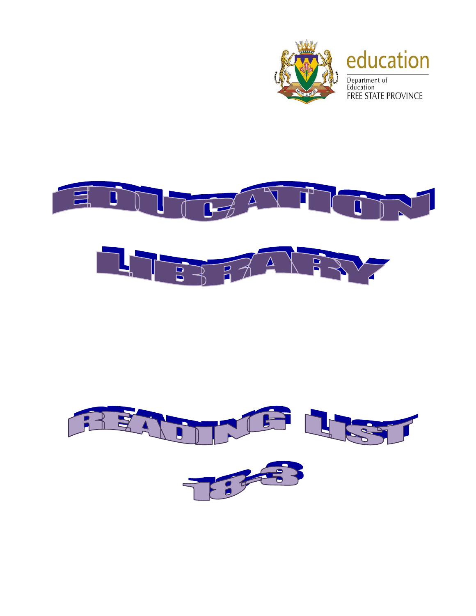



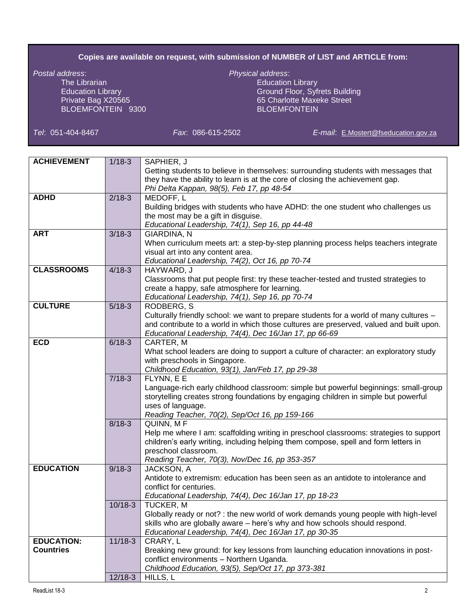## **Copies are available on request, with submission of NUMBER of LIST and ARTICLE from:**

*Postal address*: *Physical address*: The Librarian and Education Library<br>
Education Library<br>
Education Library<br>
Education Library<br>
Education Library BLOEMFONTEIN 9300

Ground Floor, Syfrets Building Private Bag X20565 65 Charlotte Maxeke Street<br>BLOEMFONTEIN 9300 65 Charlotte Maxeke Street

*Tel*: 051-404-8467 *Fax*: 086-615-2502 *E-mail*: [E.Mostert@fseducation.gov.za](mailto:E.Mostert@fseducation.gov.za)

| <b>ACHIEVEMENT</b> | $1/18 - 3$ | SAPHIER, J                                                                              |
|--------------------|------------|-----------------------------------------------------------------------------------------|
|                    |            | Getting students to believe in themselves: surrounding students with messages that      |
|                    |            | they have the ability to learn is at the core of closing the achievement gap.           |
|                    |            | Phi Delta Kappan, 98(5), Feb 17, pp 48-54                                               |
| <b>ADHD</b>        | $2/18-3$   | MEDOFF, L                                                                               |
|                    |            | Building bridges with students who have ADHD: the one student who challenges us         |
|                    |            | the most may be a gift in disguise.                                                     |
|                    |            | Educational Leadership, 74(1), Sep 16, pp 44-48                                         |
| <b>ART</b>         | $3/18 - 3$ | GIARDINA, N                                                                             |
|                    |            | When curriculum meets art: a step-by-step planning process helps teachers integrate     |
|                    |            | visual art into any content area.                                                       |
|                    |            | Educational Leadership, 74(2), Oct 16, pp 70-74                                         |
| <b>CLASSROOMS</b>  | $4/18-3$   | HAYWARD, J                                                                              |
|                    |            | Classrooms that put people first: try these teacher-tested and trusted strategies to    |
|                    |            | create a happy, safe atmosphere for learning.                                           |
|                    |            | Educational Leadership, 74(1), Sep 16, pp 70-74                                         |
| <b>CULTURE</b>     | $5/18-3$   | RODBERG, S                                                                              |
|                    |            | Culturally friendly school: we want to prepare students for a world of many cultures -  |
|                    |            | and contribute to a world in which those cultures are preserved, valued and built upon. |
|                    |            | Educational Leadership, 74(4), Dec 16/Jan 17, pp 66-69                                  |
| <b>ECD</b>         | $6/18-3$   | CARTER, M                                                                               |
|                    |            | What school leaders are doing to support a culture of character: an exploratory study   |
|                    |            | with preschools in Singapore.                                                           |
|                    |            | Childhood Education, 93(1), Jan/Feb 17, pp 29-38                                        |
|                    | $7/18-3$   | FLYNN, E E                                                                              |
|                    |            | Language-rich early childhood classroom: simple but powerful beginnings: small-group    |
|                    |            | storytelling creates strong foundations by engaging children in simple but powerful     |
|                    |            | uses of language.                                                                       |
|                    |            | Reading Teacher, 70(2), Sep/Oct 16, pp 159-166                                          |
|                    | $8/18-3$   | QUINN, MF                                                                               |
|                    |            | Help me where I am: scaffolding writing in preschool classrooms: strategies to support  |
|                    |            | children's early writing, including helping them compose, spell and form letters in     |
|                    |            | preschool classroom.                                                                    |
|                    |            | Reading Teacher, 70(3), Nov/Dec 16, pp 353-357                                          |
| <b>EDUCATION</b>   | $9/18-3$   | JACKSON, A                                                                              |
|                    |            | Antidote to extremism: education has been seen as an antidote to intolerance and        |
|                    |            | conflict for centuries.                                                                 |
|                    |            | Educational Leadership, 74(4), Dec 16/Jan 17, pp 18-23                                  |
|                    | $10/18-3$  | <b>TUCKER, M</b>                                                                        |
|                    |            | Globally ready or not? : the new world of work demands young people with high-level     |
|                    |            | skills who are globally aware - here's why and how schools should respond.              |
| <b>EDUCATION:</b>  | $11/18-3$  | Educational Leadership, 74(4), Dec 16/Jan 17, pp 30-35<br>CRARY, L                      |
| <b>Countries</b>   |            | Breaking new ground: for key lessons from launching education innovations in post-      |
|                    |            | conflict environments - Northern Uganda.                                                |
|                    |            |                                                                                         |
|                    |            |                                                                                         |
|                    | $12/18-3$  | Childhood Education, 93(5), Sep/Oct 17, pp 373-381<br>HILLS, L                          |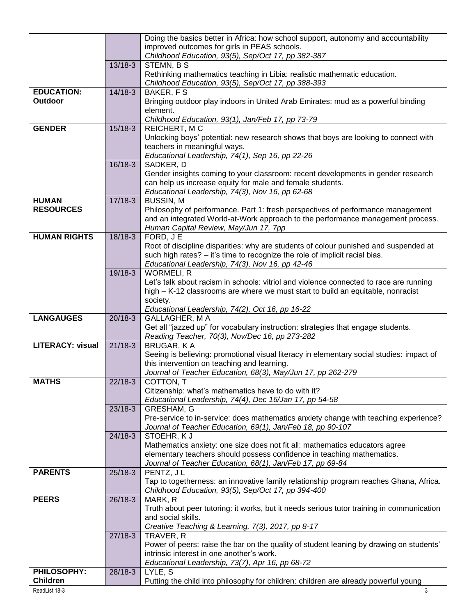|                         |           | Doing the basics better in Africa: how school support, autonomy and accountability                                  |
|-------------------------|-----------|---------------------------------------------------------------------------------------------------------------------|
|                         |           | improved outcomes for girls in PEAS schools.                                                                        |
|                         |           | Childhood Education, 93(5), Sep/Oct 17, pp 382-387                                                                  |
|                         | 13/18-3   | STEMN, B S                                                                                                          |
|                         |           | Rethinking mathematics teaching in Libia: realistic mathematic education.                                           |
|                         |           | Childhood Education, 93(5), Sep/Oct 17, pp 388-393                                                                  |
| <b>EDUCATION:</b>       | $14/18-3$ | <b>BAKER, FS</b>                                                                                                    |
| Outdoor                 |           | Bringing outdoor play indoors in United Arab Emirates: mud as a powerful binding                                    |
|                         |           | element.                                                                                                            |
| <b>GENDER</b>           |           | Childhood Education, 93(1), Jan/Feb 17, pp 73-79                                                                    |
|                         | $15/18-3$ | REICHERT, MC                                                                                                        |
|                         |           | Unlocking boys' potential: new research shows that boys are looking to connect with<br>teachers in meaningful ways. |
|                         |           | Educational Leadership, 74(1), Sep 16, pp 22-26                                                                     |
|                         | 16/18-3   | SADKER, D                                                                                                           |
|                         |           | Gender insights coming to your classroom: recent developments in gender research                                    |
|                         |           | can help us increase equity for male and female students.                                                           |
|                         |           | Educational Leadership, 74(3), Nov 16, pp 62-68                                                                     |
| <b>HUMAN</b>            | $17/18-3$ | <b>BUSSIN, M</b>                                                                                                    |
| <b>RESOURCES</b>        |           | Philosophy of performance. Part 1: fresh perspectives of performance management                                     |
|                         |           | and an integrated World-at-Work approach to the performance management process.                                     |
|                         |           | Human Capital Review, May/Jun 17, 7pp                                                                               |
| <b>HUMAN RIGHTS</b>     | $18/18-3$ | FORD, JE                                                                                                            |
|                         |           | Root of discipline disparities: why are students of colour punished and suspended at                                |
|                         |           | such high rates? - it's time to recognize the role of implicit racial bias.                                         |
|                         |           | Educational Leadership, 74(3), Nov 16, pp 42-46                                                                     |
|                         | 19/18-3   | <b>WORMELI, R</b>                                                                                                   |
|                         |           | Let's talk about racism in schools: vitriol and violence connected to race are running                              |
|                         |           | high - K-12 classrooms are where we must start to build an equitable, nonracist<br>society.                         |
|                         |           | Educational Leadership, 74(2), Oct 16, pp 16-22                                                                     |
| <b>LANGAUGES</b>        | $20/18-3$ | GALLAGHER, M A                                                                                                      |
|                         |           | Get all "jazzed up" for vocabulary instruction: strategies that engage students.                                    |
|                         |           | Reading Teacher, 70(3), Nov/Dec 16, pp 273-282                                                                      |
| <b>LITERACY: visual</b> | $21/18-3$ | <b>BRUGAR, KA</b>                                                                                                   |
|                         |           | Seeing is believing: promotional visual literacy in elementary social studies: impact of                            |
|                         |           | this intervention on teaching and learning.                                                                         |
|                         |           | Journal of Teacher Education, 68(3), May/Jun 17, pp 262-279                                                         |
| <b>MATHS</b>            | $22/18-3$ | COTTON, T                                                                                                           |
|                         |           | Citizenship: what's mathematics have to do with it?                                                                 |
|                         |           | Educational Leadership, 74(4), Dec 16/Jan 17, pp 54-58                                                              |
|                         | $23/18-3$ | GRESHAM, G                                                                                                          |
|                         |           | Pre-service to in-service: does mathematics anxiety change with teaching experience?                                |
|                         | $24/18-3$ | Journal of Teacher Education, 69(1), Jan/Feb 18, pp 90-107                                                          |
|                         |           | STOEHR, KJ<br>Mathematics anxiety: one size does not fit all: mathematics educators agree                           |
|                         |           | elementary teachers should possess confidence in teaching mathematics.                                              |
|                         |           | Journal of Teacher Education, 68(1), Jan/Feb 17, pp 69-84                                                           |
| <b>PARENTS</b>          | $25/18-3$ | PENTZ, JL                                                                                                           |
|                         |           | Tap to togetherness: an innovative family relationship program reaches Ghana, Africa.                               |
|                         |           | Childhood Education, 93(5), Sep/Oct 17, pp 394-400                                                                  |
| <b>PEERS</b>            | 26/18-3   | MARK, R                                                                                                             |
|                         |           | Truth about peer tutoring: it works, but it needs serious tutor training in communication                           |
|                         |           | and social skills.                                                                                                  |
|                         |           | Creative Teaching & Learning, 7(3), 2017, pp 8-17                                                                   |
|                         | $27/18-3$ | TRAVER, R                                                                                                           |
|                         |           | Power of peers: raise the bar on the quality of student leaning by drawing on students'                             |
|                         |           | intrinsic interest in one another's work.                                                                           |
| <b>PHILOSOPHY:</b>      | 28/18-3   | Educational Leadership, 73(7), Apr 16, pp 68-72<br>LYLE, S                                                          |
| <b>Children</b>         |           | Putting the child into philosophy for children: children are already powerful young                                 |
|                         |           |                                                                                                                     |